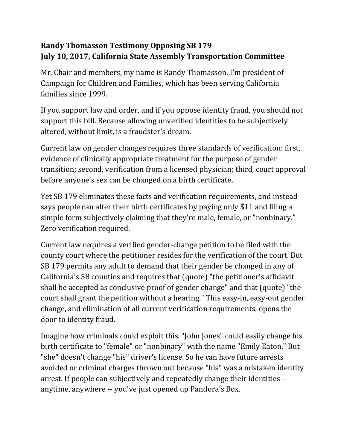## **Randy Thomasson Testimony Opposing SB 179 July 10, 2017, California State Assembly Transportation Committee**

Mr. Chair and members, my name is Randy Thomasson. I'm president of Campaign for Children and Families, which has been serving California families since 1999.

If you support law and order, and if you oppose identity fraud, you should not support this bill. Because allowing unverified identities to be subjectively altered, without limit, is a fraudster's dream.

Current law on gender changes requires three standards of verification: first, evidence of clinically appropriate treatment for the purpose of gender transition; second, verification from a licensed physician; third, court approval before anyone's sex can be changed on a birth certificate.

Yet SB 179 eliminates these facts and verification requirements, and instead says people can alter their birth certificates by paying only \$11 and filing a simple form subjectively claiming that they're male, female, or "nonbinary." Zero verification required.

Current law requires a verified gender-change petition to be filed with the county court where the petitioner resides for the verification of the court. But SB 179 permits any adult to demand that their gender be changed in any of California's 58 counties and requires that (quote) "the petitioner's affidavit shall be accepted as conclusive proof of gender change" and that (quote) "the court shall grant the petition without a hearing." This easy-in, easy-out gender change, and elimination of all current verification requirements, opens the door to identity fraud.

Imagine how criminals could exploit this. "John Jones" could easily change his birth certificate to "female" or "nonbinary" with the name "Emily Eaton." But "she" doesn't change "his" driver's license. So he can have future arrests avoided or criminal charges thrown out because "his" was a mistaken identity arrest. If people can subjectively and repeatedly change their identities - anytime, anywhere -- you've just opened up Pandora's Box.